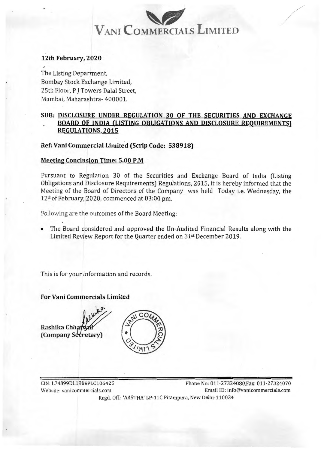# ? **VANI COMMERCIALS LIMITED** WANI COMMERCIALS LIMITED

/

#### 12th February, 2020 **12th February, 2020**

The Listing Department, The Listing Department, Bombay Stock Exchange Limited, Bombay Stock Exchange Limited, 25th Floor, P J Towers Dalal Street, 25th Floor, P J Towers Dalal Street, Mumbai, Maharashtra- 400001. Mumbai, Maharashtra- 400001.

### SUB: DISCLOSURE UNDER REGULATION 30 OF THE SECURITIES AND EXCHANGE **SUB: DISCLOSURE UNDER REGULATION 30 OF THE SECURITIES AND EXCHANGE**  BOARD OF INDIA (LISTING OBLIGATIONS AND DISCLOSURE REQUIREMENTS) **BOARD OF INDIA (LISTING OBLIGATIONS AND DISCLOSURE REQUIREMENTS)**  REGULATIONS. 2015 **REGULATIONS. 2015**

Ref: Vani Commercial Limited (Scrip Code: 538918) **Ref: Vani Commercial Limited (Scrip Code: 538918)** 

#### Meetin? Conclusion Time: 5.00 P.M **Meeting Conclusion Time: 5.00 P.M**

Pursuant to Regulation 30 of the Securities and Exchange Board of India (Listing Obligations and Disclosure Requirements) Regulations, 2015, it is hereby informed that the Obligations and Disclosure Requirements) Regulations, 2015, it is hereby informed that the Meeting of the Board of Directors of the Company was held Today i.e. Wednesday, the Meeting of the Board of Directors of the Company was held Today i.e. Wednesday, the 1201of February, 2020, commenced at 03:00 pm. 12thof February, 2020, commenced at 03:00 pm.

Following are the outcomes of the Board Meeting:

• The Board considered and approved the Un-Audited Financial Results along with the • The Board considered and approved the Un-Audited Financial Results along with the Limited Review Report for the Quarter ended on 31st December 2019.

This is for your information and records. This is for your information and records.

For Vani Commercials Limited **For Vani Commercials Limited** 

Rashika ChhatwaY (Company Se



CIN:L74899DL1988PLC106425 Phone No: 011-27324080,Fax: 011-27324070 CIN:L74899DL1988PLC106425 Phone No: 011-27324080,Fax: 011-27324070 Website: vanicommercials.com Email ID: info@vanicommercials.com Website: vanicommercials.com Email ID: info@vanicommercials.com Regd. Off.: 'AASTHA' LP-llC Pitampura, New Delhi-110034 Regd. Off.: 'AASTHA' LP-llC Pitampura, New Delhi-110034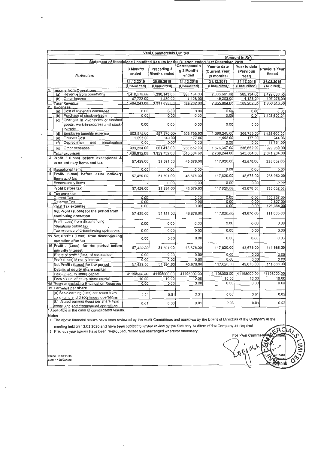| Vani Commercials Limited                                                            |                                         |                                                 |                           |                          |                        |                           |                        |                            |
|-------------------------------------------------------------------------------------|-----------------------------------------|-------------------------------------------------|---------------------------|--------------------------|------------------------|---------------------------|------------------------|----------------------------|
|                                                                                     |                                         |                                                 | $(Am$ ount in $R\bar{s}$  |                          |                        |                           |                        |                            |
| Statement of Standalone Unaudited Results for the Quarter ended 31st December, 2019 |                                         |                                                 |                           |                          |                        |                           |                        |                            |
| <b>Particulars</b>                                                                  |                                         |                                                 | 3 Months                  | Preceding 3              | Correspondin           | Year to date              | Year to date           | Previous Year              |
|                                                                                     |                                         |                                                 | ended                     | <b>Months ended</b>      | g 3 Months             | (Current Year)            | (Previous              | Ended                      |
|                                                                                     |                                         |                                                 |                           |                          | ended                  | (9 months)                | Yearl                  |                            |
|                                                                                     |                                         |                                                 | 31.12.2019                | 30.09.2019               | 31.12.2018             | 31.12.2019                | 31.12.2018             | 31.03.2019                 |
|                                                                                     |                                         | (Unaudited)                                     | (Unaudited)               | (Unaudited)              | (Unaudited)            | (Unaudited)               | (Audited)              |                            |
|                                                                                     |                                         | <b>Income from Operations</b>                   |                           |                          |                        |                           |                        |                            |
|                                                                                     |                                         | (a) Revenue from operations<br>(b) Other Income | 1,416,518.00<br>47.723.00 | 1,390,143.00<br>1,480.00 | 585.134.00<br>4.128.00 | 2.806.661.00<br>49,203.00 | 585.134.00<br>4,128.00 | 2,499,038.00               |
|                                                                                     |                                         | <b>Total Revenue</b>                            | 1,464,241.00              | 1.391.623.00             | 589,262.00             | 2,855,864.00              | 589,262.00             | 107,278.00<br>2,606,316.00 |
|                                                                                     | <b>Expenses</b>                         |                                                 |                           |                          |                        |                           |                        |                            |
|                                                                                     |                                         | (a) Cost of materials consumed                  | 0.00                      | 0.00                     | 0.00                   | 0.00                      | 0.00                   | 0.00                       |
|                                                                                     |                                         | (b) Purchase of stock-in-trade                  | 0.00                      | 0.00                     | 0.00                   | 0.00                      | 0.00                   | 1.428,600.00               |
|                                                                                     |                                         | (c) Changes in inventories of finished          |                           |                          |                        |                           |                        |                            |
|                                                                                     |                                         | goods, work-in-progress and stock-              | 0.00                      | 0.00                     | 0.00                   | 0.00                      | 0.00                   |                            |
|                                                                                     |                                         | in-trade                                        |                           |                          |                        |                           |                        |                            |
|                                                                                     |                                         | (d) Employee benefits expense                   | 502,575.00                | 557,670.00               | 308,755.00             | 1,060,245.00              | 308,755.00             | 1,428,600.00               |
|                                                                                     | (e)                                     | Finance Cost                                    | 1.003.00                  | 649.00                   | 177.00                 | 1.652.00                  | 177.00                 | 944.00                     |
|                                                                                     | (f)                                     | Depreciation<br>and<br>amortisation             | 0.00                      | 0.00                     | 0.00                   | 0.001                     | 0.00                   | 11,751.00                  |
|                                                                                     | (q)                                     | Other expenses                                  | 903.234.00                | 801.413.00               | 236,652.00             | 1,676,347.00              | 236,652.00             | 929,969.00                 |
|                                                                                     |                                         | <b>Total expenses</b>                           | 1,406,812.00              | 1,359,732.00             | 545,584.00             | 2,738,244.00              | 545,584.00             | 2,371,264.00               |
| 3                                                                                   |                                         | Profit / (Loss) before exceptional &            |                           |                          |                        |                           |                        |                            |
|                                                                                     |                                         | extra ordinary items and tax                    | 57,429.00                 | 31,891.00                | 43,678.00              | 117,620.00                | 43,678.00              | 235,052.00                 |
|                                                                                     |                                         | 4 Exceptional items                             | 0.00                      | 0.00                     | 0.00                   | 0.00                      | 0.00                   | 0.00                       |
|                                                                                     |                                         | 5 Profit/ (Loss) before extra ordinary          |                           |                          |                        |                           |                        |                            |
|                                                                                     |                                         | items and tax                                   | 57,429.00                 | 31,891.00                | 43,678.00              | 117,620.00                | 43,678.00              | 235.052.00                 |
|                                                                                     |                                         | Extraordinary items                             |                           | 0.00                     | 0.00                   | 0.00                      | 0.00                   | 0.00                       |
|                                                                                     |                                         | Profit before tax                               | 57,429.00                 | 31,891.00                | 43.678.00              | 117,620.00                | 43,678.00              | 235,052.00                 |
|                                                                                     | 6 Tax expense                           |                                                 |                           |                          |                        |                           |                        |                            |
|                                                                                     | Current Tax                             |                                                 | 0.00                      |                          | 0.00                   | 0.00                      | 0.00                   | 120,737.00                 |
|                                                                                     |                                         | Deferred Tax                                    | 0.00                      |                          | 0.00                   | 0.00                      | 0.00                   | 2,627.00                   |
|                                                                                     | <b>Total Tax expense</b>                |                                                 | 0.00                      |                          | 0.00                   | 0.00                      | 0.00                   | 123,364.00                 |
|                                                                                     | Net Profit / (Loss) for the period from |                                                 | 57,429.00                 | 31,891.00                | 43,678.00              | 117,620.00                | 43,678.00              | 111,688.00                 |
|                                                                                     |                                         | continuing operation                            |                           |                          |                        |                           |                        |                            |
|                                                                                     |                                         | Profit (Loss) from discontinuing                | 0.00                      | 0.00                     | 0.00                   | 0.00                      | 0.00                   | 0.00                       |
|                                                                                     |                                         | operations before tax                           |                           |                          |                        |                           |                        |                            |
|                                                                                     |                                         | Tax expense of discontinuing operations         | 0.00                      | 0.00                     | 0.00                   | 0.00                      | 0.00                   | 0.00                       |
|                                                                                     |                                         | 11 Net Profit / (Loss) from discontinuing       | 0.00                      | 0.00                     | 0.00                   | 0.00                      | 0.00                   | 0.00                       |
|                                                                                     |                                         | operation after tax                             |                           |                          |                        |                           |                        |                            |
|                                                                                     |                                         | 16 Profit / (Loss) for the period before        | 57,429.00                 | 31,891.00                | 43.678.00              | 117,620.00                | 43,678.00              | 111,688.00                 |
|                                                                                     |                                         | minority interest                               |                           |                          |                        |                           |                        |                            |
|                                                                                     |                                         | Share of profit / (loss) of associates*         | 0.00                      | 0.00                     | $0.\overline{0}0$      | 0.00                      | 0.00                   | 0.00                       |
|                                                                                     |                                         | Profit (Loss) Minority Interest*                | 0.00                      | 0.00                     | 0.00                   | 0.00                      | 0.00                   | 0.00                       |
|                                                                                     |                                         | Net Profit / (Loss) for the period              | 57,429.00                 | 31,891.00                | 43,678.00              | 117,620.00                | 43,678.00              | 111,688.00                 |
|                                                                                     |                                         | Details of equity share capital                 |                           |                          |                        |                           |                        |                            |
|                                                                                     |                                         | Paid-up equity share capital                    | 41198000.00               | 41198000.00              | 41198000.00            | 41198000.00               | 41198000.00            | 41198000.00                |
|                                                                                     |                                         | Face Value of equity share capital              | 10.00                     | 10.00                    | 10.00                  | 10.00                     | 10.00                  | 10.00                      |
|                                                                                     |                                         | 18 Reserve excluding Revaluation Reserves       | 0.00                      | 0.00                     | 0.00                   | 0.00                      | 0.00                   | 0.00                       |
|                                                                                     |                                         | 19 Earnings per share                           |                           |                          |                        |                           |                        |                            |
|                                                                                     |                                         | (a) Basic earning (loss) per share from         | 0.01                      | 0.01                     | 0.01                   | 0.03                      | 0.01                   | 0.02                       |
|                                                                                     |                                         | continuing and discontinued operations          |                           |                          |                        |                           |                        |                            |
|                                                                                     |                                         | (b) Diluted earning (loss) per share from       | 0.01                      | 0.00                     | 0.01                   | 0.03                      | 0.01                   | 0.02                       |
|                                                                                     |                                         | continuing and discontinued operations          |                           |                          |                        |                           |                        |                            |

\* Applicable in the case of consolidated results.

Notes :

י כשטאל.<br>1. The above financial results have been reviewed by the Audit Committees and approved by the Board of Directors of the Company at the

meeting held on 12.02.2020 and have been subject to limited review by the Statutory Auditors of the Company as required.

2 Previous year figures have been re-grouped, recast and rearranged wherever necessary.

 $\overline{\phantom{a}}$ 

|<br>|Place : New Delhi<br>|Date : 12/02/2020

ERCIAL For Vani Commen  $\epsilon$  $\mathfrak{g}$  $\varphi_{\mathcal{O}}$